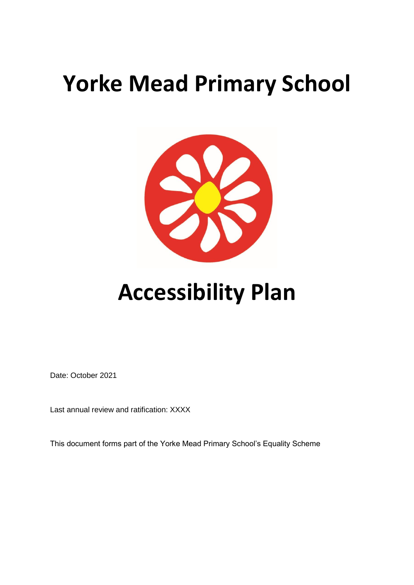## **Yorke Mead Primary School**



## **Accessibility Plan**

Date: October 2021

Last annual review and ratification: XXXX

This document forms part of the Yorke Mead Primary School's Equality Scheme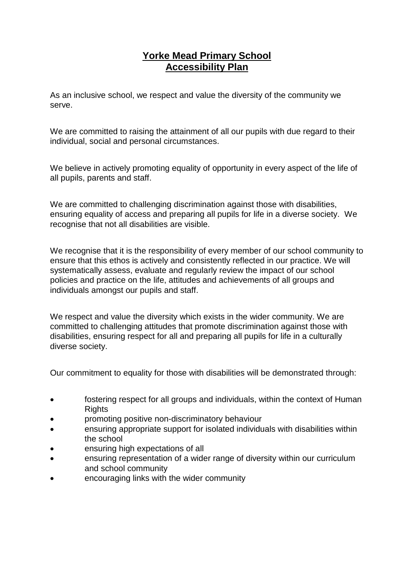## **Yorke Mead Primary School Accessibility Plan**

As an inclusive school, we respect and value the diversity of the community we serve.

We are committed to raising the attainment of all our pupils with due regard to their individual, social and personal circumstances.

We believe in actively promoting equality of opportunity in every aspect of the life of all pupils, parents and staff.

We are committed to challenging discrimination against those with disabilities, ensuring equality of access and preparing all pupils for life in a diverse society. We recognise that not all disabilities are visible.

We recognise that it is the responsibility of every member of our school community to ensure that this ethos is actively and consistently reflected in our practice. We will systematically assess, evaluate and regularly review the impact of our school policies and practice on the life, attitudes and achievements of all groups and individuals amongst our pupils and staff.

We respect and value the diversity which exists in the wider community. We are committed to challenging attitudes that promote discrimination against those with disabilities, ensuring respect for all and preparing all pupils for life in a culturally diverse society.

Our commitment to equality for those with disabilities will be demonstrated through:

- fostering respect for all groups and individuals, within the context of Human **Rights**
- promoting positive non-discriminatory behaviour
- ensuring appropriate support for isolated individuals with disabilities within the school
- ensuring high expectations of all
- ensuring representation of a wider range of diversity within our curriculum and school community
- encouraging links with the wider community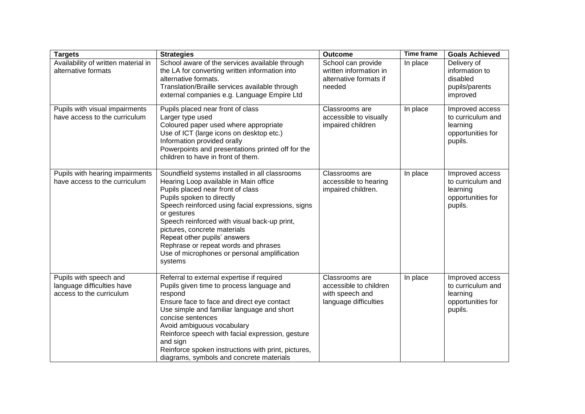| <b>Targets</b>                                                                   | <b>Strategies</b>                                                                                                                                                                                                                                                                                                                                                                                                                                | Outcome                                                                              | <b>Time frame</b> | <b>Goals Achieved</b>                                                            |
|----------------------------------------------------------------------------------|--------------------------------------------------------------------------------------------------------------------------------------------------------------------------------------------------------------------------------------------------------------------------------------------------------------------------------------------------------------------------------------------------------------------------------------------------|--------------------------------------------------------------------------------------|-------------------|----------------------------------------------------------------------------------|
| Availability of written material in<br>alternative formats                       | School aware of the services available through<br>the LA for converting written information into<br>alternative formats.<br>Translation/Braille services available through<br>external companies e.g. Language Empire Ltd                                                                                                                                                                                                                        | School can provide<br>written information in<br>alternative formats if<br>needed     | In place          | Delivery of<br>information to<br>disabled<br>pupils/parents<br>improved          |
| Pupils with visual impairments<br>have access to the curriculum                  | Pupils placed near front of class<br>Larger type used<br>Coloured paper used where appropriate<br>Use of ICT (large icons on desktop etc.)<br>Information provided orally<br>Powerpoints and presentations printed off for the<br>children to have in front of them.                                                                                                                                                                             | Classrooms are<br>accessible to visually<br>impaired children                        | In place          | Improved access<br>to curriculum and<br>learning<br>opportunities for<br>pupils. |
| Pupils with hearing impairments<br>have access to the curriculum                 | Soundfield systems installed in all classrooms<br>Hearing Loop available in Main office<br>Pupils placed near front of class<br>Pupils spoken to directly<br>Speech reinforced using facial expressions, signs<br>or gestures<br>Speech reinforced with visual back-up print,<br>pictures, concrete materials<br>Repeat other pupils' answers<br>Rephrase or repeat words and phrases<br>Use of microphones or personal amplification<br>systems | Classrooms are<br>accessible to hearing<br>impaired children.                        | In place          | Improved access<br>to curriculum and<br>learning<br>opportunities for<br>pupils. |
| Pupils with speech and<br>language difficulties have<br>access to the curriculum | Referral to external expertise if required<br>Pupils given time to process language and<br>respond<br>Ensure face to face and direct eye contact<br>Use simple and familiar language and short<br>concise sentences<br>Avoid ambiguous vocabulary<br>Reinforce speech with facial expression, gesture<br>and sign<br>Reinforce spoken instructions with print, pictures,<br>diagrams, symbols and concrete materials                             | Classrooms are<br>accessible to children<br>with speech and<br>language difficulties | In place          | Improved access<br>to curriculum and<br>learning<br>opportunities for<br>pupils. |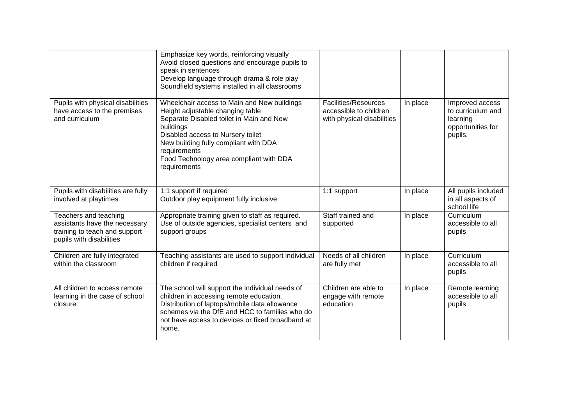|                                                                                                                     | Emphasize key words, reinforcing visually<br>Avoid closed questions and encourage pupils to<br>speak in sentences<br>Develop language through drama & role play<br>Soundfield systems installed in all classrooms                                                                                 |                                                                                     |          |                                                                                  |
|---------------------------------------------------------------------------------------------------------------------|---------------------------------------------------------------------------------------------------------------------------------------------------------------------------------------------------------------------------------------------------------------------------------------------------|-------------------------------------------------------------------------------------|----------|----------------------------------------------------------------------------------|
| Pupils with physical disabilities<br>have access to the premises<br>and curriculum                                  | Wheelchair access to Main and New buildings<br>Height adjustable changing table<br>Separate Disabled toilet in Main and New<br>buildings<br>Disabled access to Nursery toilet<br>New building fully compliant with DDA<br>requirements<br>Food Technology area compliant with DDA<br>requirements | <b>Facilities/Resources</b><br>accessible to children<br>with physical disabilities | In place | Improved access<br>to curriculum and<br>learning<br>opportunities for<br>pupils. |
| Pupils with disabilities are fully<br>involved at playtimes                                                         | 1:1 support if required<br>Outdoor play equipment fully inclusive                                                                                                                                                                                                                                 | 1:1 support                                                                         | In place | All pupils included<br>in all aspects of<br>school life                          |
| Teachers and teaching<br>assistants have the necessary<br>training to teach and support<br>pupils with disabilities | Appropriate training given to staff as required.<br>Use of outside agencies, specialist centers and<br>support groups                                                                                                                                                                             | Staff trained and<br>supported                                                      | In place | Curriculum<br>accessible to all<br>pupils                                        |
| Children are fully integrated<br>within the classroom                                                               | Teaching assistants are used to support individual<br>children if required                                                                                                                                                                                                                        | Needs of all children<br>are fully met                                              | In place | Curriculum<br>accessible to all<br>pupils                                        |
| All children to access remote<br>learning in the case of school<br>closure                                          | The school will support the individual needs of<br>children in accessing remote education.<br>Distribution of laptops/mobile data allowance<br>schemes via the DfE and HCC to families who do<br>not have access to devices or fixed broadband at<br>home.                                        | Children are able to<br>engage with remote<br>education                             | In place | Remote learning<br>accessible to all<br>pupils                                   |